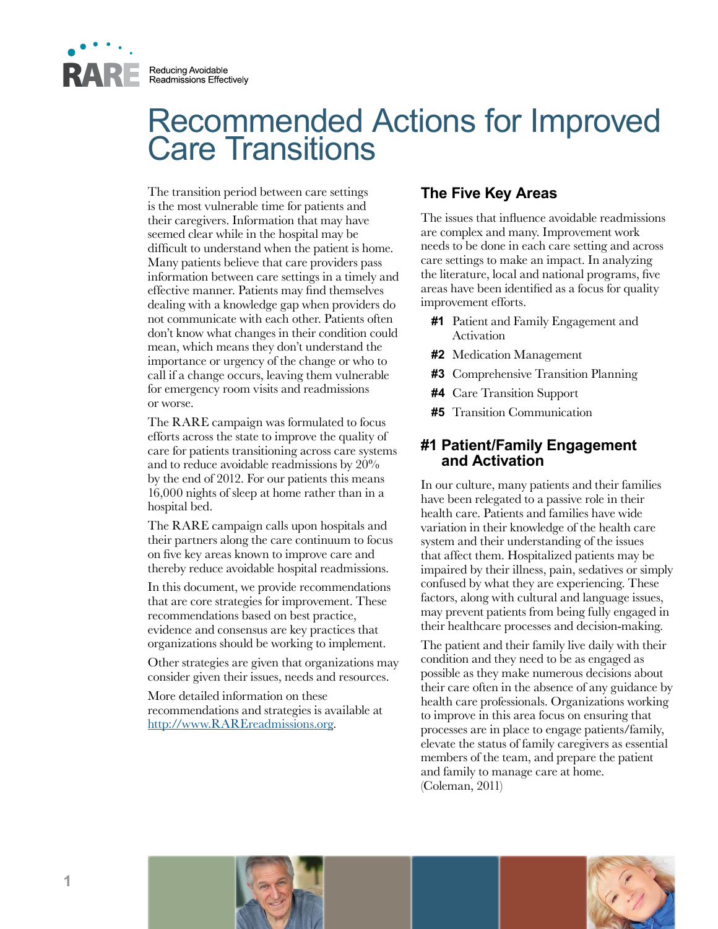

Reducing Avoidable Readmissions Effectively

# Recommended Actions for Improved Care Transitions

The transition period between care settings is the most vulnerable time for patients and their caregivers. Information that may have seemed clear while in the hospital may be difficult to understand when the patient is home. Many patients believe that care providers pass information between care settings in a timely and effective manner. Patients may find themselves dealing with a knowledge gap when providers do not communicate with each other. Patients often don't know what changes in their condition could mean, which means they don't understand the importance or urgency of the change or who to call if a change occurs, leaving them vulnerable for emergency room visits and readmissions or worse.

The RARE campaign was formulated to focus efforts across the state to improve the quality of care for patients transitioning across care systems and to reduce avoidable readmissions by 20% by the end of 2012. For our patients this means 16,000 nights of sleep at home rather than in a hospital bed.

The RARE campaign calls upon hospitals and their partners along the care continuum to focus on five key areas known to improve care and thereby reduce avoidable hospital readmissions.

In this document, we provide recommendations that are core strategies for improvement. These recommendations based on best practice, evidence and consensus are key practices that organizations should be working to implement.

Other strategies are given that organizations may consider given their issues, needs and resources.

More detailed information on these recommendations and strategies is available at [http://www.RAREreadmissions.org.](http://www.rarereadmissions.org/)

# **The Five Key Areas**

The issues that influence avoidable readmissions are complex and many. Improvement work needs to be done in each care setting and across care settings to make an impact. In analyzing the literature, local and national programs, five areas have been identified as a focus for quality improvement efforts.

- **#1** Patient and Family Engagement and Activation
- **#2** Medication Management
- **#3** Comprehensive Transition Planning
- **#4** Care Transition Support
- **#5** Transition Communication

## **#1 Patient/Family Engagement and Activation**

In our culture, many patients and their families have been relegated to a passive role in their health care. Patients and families have wide variation in their knowledge of the health care system and their understanding of the issues that affect them. Hospitalized patients may be impaired by their illness, pain, sedatives or simply confused by what they are experiencing. These factors, along with cultural and language issues, may prevent patients from being fully engaged in their healthcare processes and decision-making.

The patient and their family live daily with their condition and they need to be as engaged as possible as they make numerous decisions about their care often in the absence of any guidance by health care professionals. Organizations working to improve in this area focus on ensuring that processes are in place to engage patients/family, elevate the status of family caregivers as essential members of the team, and prepare the patient and family to manage care at home. (Coleman, 2011)



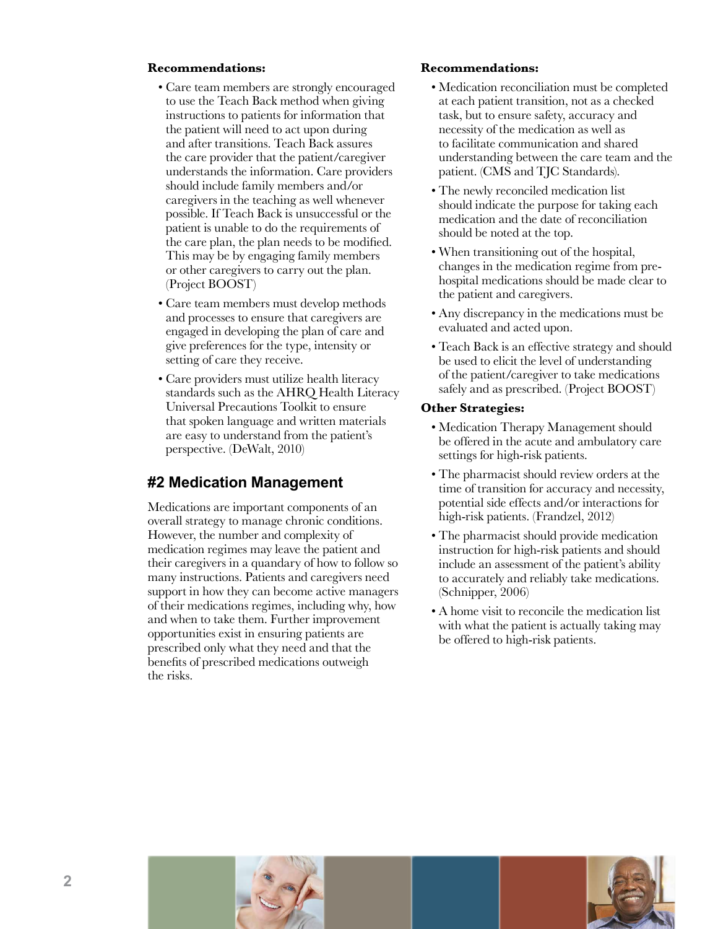#### **Recommendations:**

- Care team members are strongly encouraged to use the Teach Back method when giving instructions to patients for information that the patient will need to act upon during and after transitions. Teach Back assures the care provider that the patient/caregiver understands the information. Care providers should include family members and/or caregivers in the teaching as well whenever possible. If Teach Back is unsuccessful or the patient is unable to do the requirements of the care plan, the plan needs to be modified. This may be by engaging family members or other caregivers to carry out the plan. (Project BOOST)
- Care team members must develop methods and processes to ensure that caregivers are engaged in developing the plan of care and give preferences for the type, intensity or setting of care they receive.
- Care providers must utilize health literacy standards such as the AHRQ Health Literacy Universal Precautions Toolkit to ensure that spoken language and written materials are easy to understand from the patient's perspective. (DeWalt, 2010)

# **#2 Medication Management**

Medications are important components of an overall strategy to manage chronic conditions. However, the number and complexity of medication regimes may leave the patient and their caregivers in a quandary of how to follow so many instructions. Patients and caregivers need support in how they can become active managers of their medications regimes, including why, how and when to take them. Further improvement opportunities exist in ensuring patients are prescribed only what they need and that the benefits of prescribed medications outweigh the risks.

#### **Recommendations:**

- Medication reconciliation must be completed at each patient transition, not as a checked task, but to ensure safety, accuracy and necessity of the medication as well as to facilitate communication and shared understanding between the care team and the patient. (CMS and TJC Standards).
- The newly reconciled medication list should indicate the purpose for taking each medication and the date of reconciliation should be noted at the top.
- When transitioning out of the hospital, changes in the medication regime from prehospital medications should be made clear to the patient and caregivers.
- Any discrepancy in the medications must be evaluated and acted upon.
- Teach Back is an effective strategy and should be used to elicit the level of understanding of the patient/caregiver to take medications safely and as prescribed. (Project BOOST)

#### **Other Strategies:**

- Medication Therapy Management should be offered in the acute and ambulatory care settings for high-risk patients.
- The pharmacist should review orders at the time of transition for accuracy and necessity, potential side effects and/or interactions for high-risk patients. (Frandzel, 2012)
- The pharmacist should provide medication instruction for high-risk patients and should include an assessment of the patient's ability to accurately and reliably take medications. (Schnipper, 2006)
- A home visit to reconcile the medication list with what the patient is actually taking may be offered to high-risk patients.



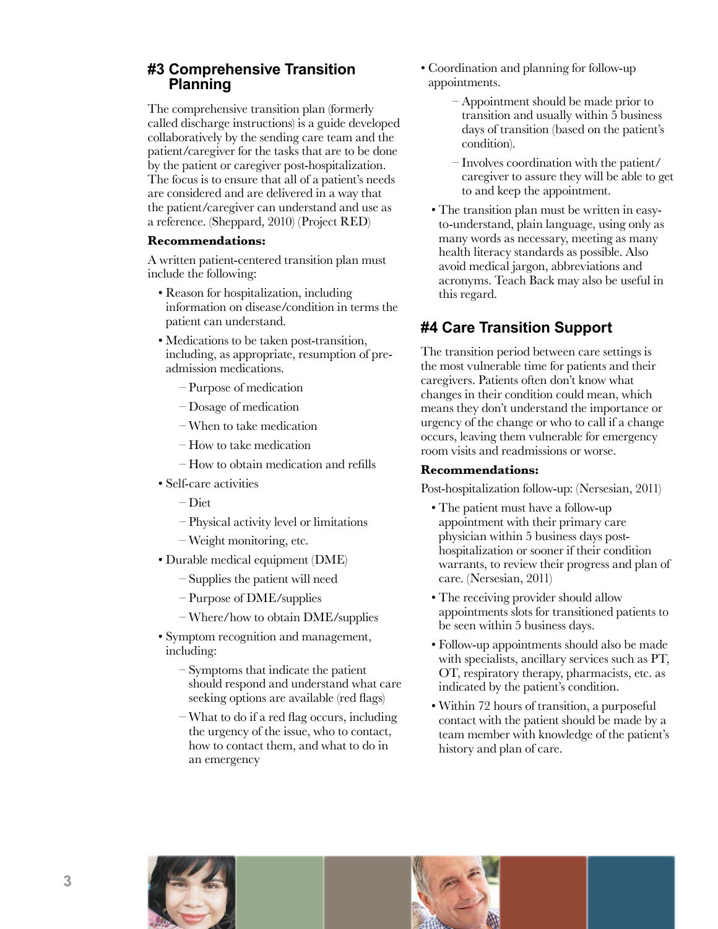## **#3 Comprehensive Transition Planning**

The comprehensive transition plan (formerly called discharge instructions) is a guide developed collaboratively by the sending care team and the patient/caregiver for the tasks that are to be done by the patient or caregiver post-hospitalization. The focus is to ensure that all of a patient's needs are considered and are delivered in a way that the patient/caregiver can understand and use as a reference. (Sheppard, 2010) (Project RED)

#### **Recommendations:**

A written patient-centered transition plan must include the following:

- Reason for hospitalization, including information on disease/condition in terms the patient can understand.
- Medications to be taken post-transition, including, as appropriate, resumption of preadmission medications.
	- Purpose of medication
	- Dosage of medication
	- When to take medication
	- How to take medication
	- How to obtain medication and refills
- Self-care activities

– Diet

- Physical activity level or limitations
- Weight monitoring, etc.
- Durable medical equipment (DME)
	- Supplies the patient will need
	- Purpose of DME/supplies
	- Where/how to obtain DME/supplies
- Symptom recognition and management, including:

 – Symptoms that indicate the patient should respond and understand what care seeking options are available (red flags)

– What to do if a red flag occurs, including the urgency of the issue, who to contact, how to contact them, and what to do in an emergency

- Coordination and planning for follow-up appointments.
	- Appointment should be made prior to transition and usually within 5 business days of transition (based on the patient's condition).
	- Involves coordination with the patient/ caregiver to assure they will be able to get to and keep the appointment.
	- The transition plan must be written in easyto-understand, plain language, using only as many words as necessary, meeting as many health literacy standards as possible. Also avoid medical jargon, abbreviations and acronyms. Teach Back may also be useful in this regard.

# **#4 Care Transition Support**

The transition period between care settings is the most vulnerable time for patients and their caregivers. Patients often don't know what changes in their condition could mean, which means they don't understand the importance or urgency of the change or who to call if a change occurs, leaving them vulnerable for emergency room visits and readmissions or worse.

#### **Recommendations:**

Post-hospitalization follow-up: (Nersesian, 2011)

- The patient must have a follow-up appointment with their primary care physician within 5 business days posthospitalization or sooner if their condition warrants, to review their progress and plan of care. (Nersesian, 2011)
- The receiving provider should allow appointments slots for transitioned patients to be seen within 5 business days.
- Follow-up appointments should also be made with specialists, ancillary services such as PT, OT, respiratory therapy, pharmacists, etc. as indicated by the patient's condition.
- Within 72 hours of transition, a purposeful contact with the patient should be made by a team member with knowledge of the patient's history and plan of care.

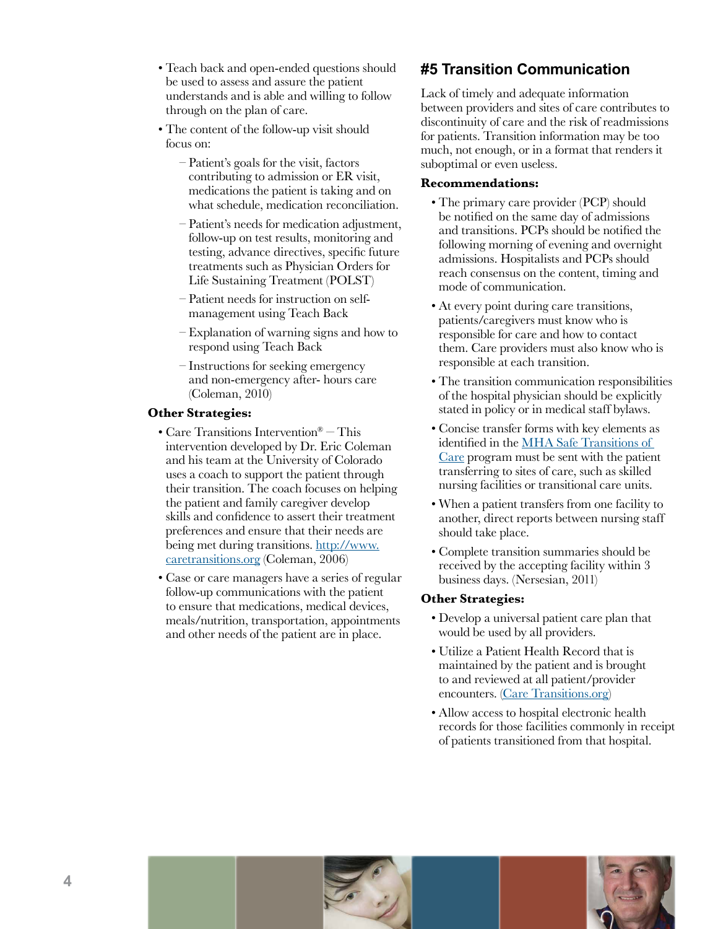- Teach back and open-ended questions should be used to assess and assure the patient understands and is able and willing to follow through on the plan of care.
- The content of the follow-up visit should focus on:
	- Patient's goals for the visit, factors contributing to admission or ER visit, medications the patient is taking and on what schedule, medication reconciliation.
	- Patient's needs for medication adjustment, follow-up on test results, monitoring and testing, advance directives, specific future treatments such as Physician Orders for Life Sustaining Treatment (POLST)
	- Patient needs for instruction on selfmanagement using Teach Back
	- Explanation of warning signs and how to respond using Teach Back
	- Instructions for seeking emergency and non-emergency after- hours care (Coleman, 2010)

### **Other Strategies:**

- Care Transitions Intervention® This intervention developed by Dr. Eric Coleman and his team at the University of Colorado uses a coach to support the patient through their transition. The coach focuses on helping the patient and family caregiver develop skills and confidence to assert their treatment preferences and ensure that their needs are being met during transitions[. http://www.](http://www.caretransitions.org) [caretransitions.org](http://www.caretransitions.org) (Coleman, 2006)
- Case or care managers have a series of regular follow-up communications with the patient to ensure that medications, medical devices, meals/nutrition, transportation, appointments and other needs of the patient are in place.

# **#5 Transition Communication**

Lack of timely and adequate information between providers and sites of care contributes to discontinuity of care and the risk of readmissions for patients. Transition information may be too much, not enough, or in a format that renders it suboptimal or even useless.

#### **Recommendations:**

- The primary care provider (PCP) should be notified on the same day of admissions and transitions. PCPs should be notified the following morning of evening and overnight admissions. Hospitalists and PCPs should reach consensus on the content, timing and mode of communication.
- At every point during care transitions, patients/caregivers must know who is responsible for care and how to contact them. Care providers must also know who is responsible at each transition.
- The transition communication responsibilities of the hospital physician should be explicitly stated in policy or in medical staff bylaws.
- Concise transfer forms with key elements as identified in the [MHA Safe Transitions of](http://www.mnhospitals.org/index/stoc)  [Care](http://www.mnhospitals.org/index/stoc) program must be sent with the patient transferring to sites of care, such as skilled nursing facilities or transitional care units.
- When a patient transfers from one facility to another, direct reports between nursing staff should take place.
- Complete transition summaries should be received by the accepting facility within 3 business days. (Nersesian, 2011)

#### **Other Strategies:**

- Develop a universal patient care plan that would be used by all providers.
- Utilize a Patient Health Record that is maintained by the patient and is brought to and reviewed at all patient/provider encounters. [\(Care Transitions.org\)](http://www.caretransitions.org)
- Allow access to hospital electronic health records for those facilities commonly in receipt of patients transitioned from that hospital.



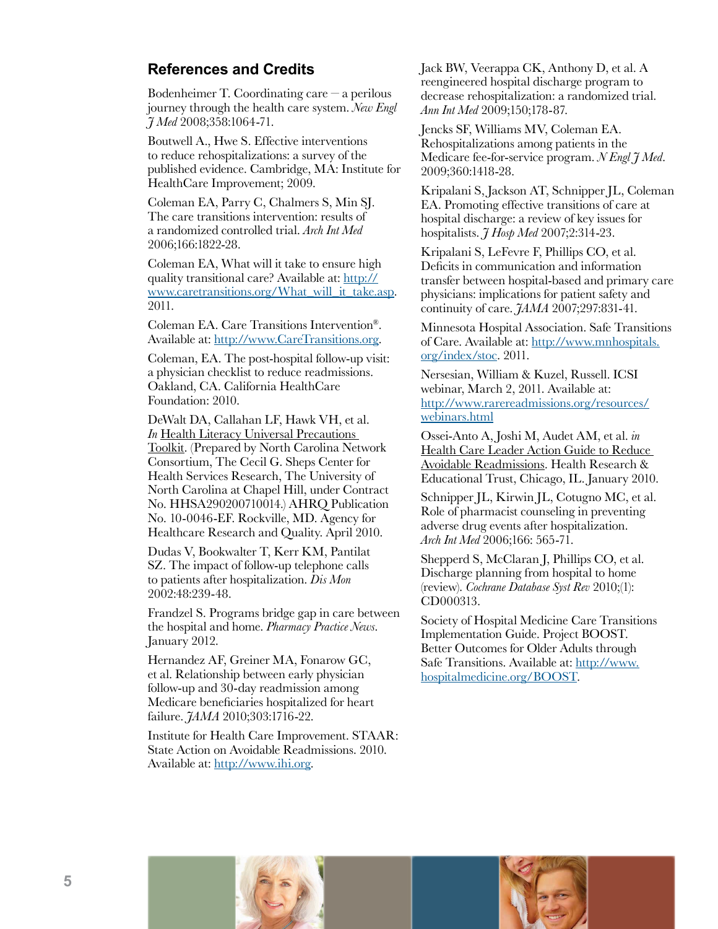## **References and Credits**

Bodenheimer T. Coordinating care – a perilous journey through the health care system. *New Engl J Med* 2008;358:1064-71.

Boutwell A., Hwe S. Effective interventions to reduce rehospitalizations: a survey of the published evidence. Cambridge, MA: Institute for HealthCare Improvement; 2009.

Coleman EA, Parry C, Chalmers S, Min SJ. The care transitions intervention: results of a randomized controlled trial. *Arch Int Med* 2006;166:1822-28.

Coleman EA, What will it take to ensure high quality transitional care? Available at[: http://](http://www.caretransitions.org/What_will_it_take.asp) [www.caretransitions.org/What\\_will\\_it\\_take.asp.](http://www.caretransitions.org/What_will_it_take.asp)  2011.

Coleman EA. Care Transitions Intervention®. Available at[: http://www.CareTransitions.org.](http://www.caretransitions.org) 

Coleman, EA. The post-hospital follow-up visit: a physician checklist to reduce readmissions. Oakland, CA. California HealthCare Foundation: 2010.

DeWalt DA, Callahan LF, Hawk VH, et al. *In* Health Literacy Universal Precautions Toolkit. (Prepared by North Carolina Network Consortium, The Cecil G. Sheps Center for Health Services Research, The University of North Carolina at Chapel Hill, under Contract No. HHSA290200710014.) AHRQ Publication No. 10-0046-EF. Rockville, MD. Agency for Healthcare Research and Quality. April 2010.

Dudas V, Bookwalter T, Kerr KM, Pantilat SZ. The impact of follow-up telephone calls to patients after hospitalization. *Dis Mon* 2002:48:239-48.

Frandzel S. Programs bridge gap in care between the hospital and home. *Pharmacy Practice News*. January 2012.

Hernandez AF, Greiner MA, Fonarow GC, et al. Relationship between early physician follow-up and 30-day readmission among Medicare beneficiaries hospitalized for heart failure. *JAMA* 2010;303:1716-22.

Institute for Health Care Improvement. STAAR: State Action on Avoidable Readmissions. 2010. Available at[: http://www.ihi.org.](http://www.ihi.org)

Jack BW, Veerappa CK, Anthony D, et al. A reengineered hospital discharge program to decrease rehospitalization: a randomized trial. *Ann Int Med* 2009;150;178-87.

Jencks SF, Williams MV, Coleman EA. Rehospitalizations among patients in the Medicare fee-for-service program. *N Engl J Med*. 2009;360:1418-28.

Kripalani S, Jackson AT, Schnipper JL, Coleman EA. Promoting effective transitions of care at hospital discharge: a review of key issues for hospitalists. *J Hosp Med* 2007;2:314-23.

Kripalani S, LeFevre F, Phillips CO, et al. Deficits in communication and information transfer between hospital-based and primary care physicians: implications for patient safety and continuity of care. *JAMA* 2007;297:831-41.

Minnesota Hospital Association. Safe Transitions of Care. Available at[: http://www.mnhospitals.](http://www.mnhospitals.org/index/stoc) [org/index/stoc.](http://www.mnhospitals.org/index/stoc) 2011.

Nersesian, William & Kuzel, Russell. ICSI webinar, March 2, 2011. Available at: [http://www.rarereadmissions.org/resources/](http://www.rarereadmissions.org/resources/webinars.html) webinars.html

Ossei-Anto A, Joshi M, Audet AM, et al. *in* Health Care Leader Action Guide to Reduce Avoidable Readmissions. Health Research & Educational Trust, Chicago, IL. January 2010.

Schnipper JL, Kirwin JL, Cotugno MC, et al. Role of pharmacist counseling in preventing adverse drug events after hospitalization. *Arch Int Med* 2006;166: 565-71.

Shepperd S, McClaran J, Phillips CO, et al. Discharge planning from hospital to home (review). *Cochrane Database Syst Rev* 2010;(1): CD000313.

Society of Hospital Medicine Care Transitions Implementation Guide. Project BOOST. Better Outcomes for Older Adults through Safe Transitions. Available at[: http://www.](http://www.hospitalmedicine.org/BOOST) [hospitalmedicine.org/BOOST.](http://www.hospitalmedicine.org/BOOST)

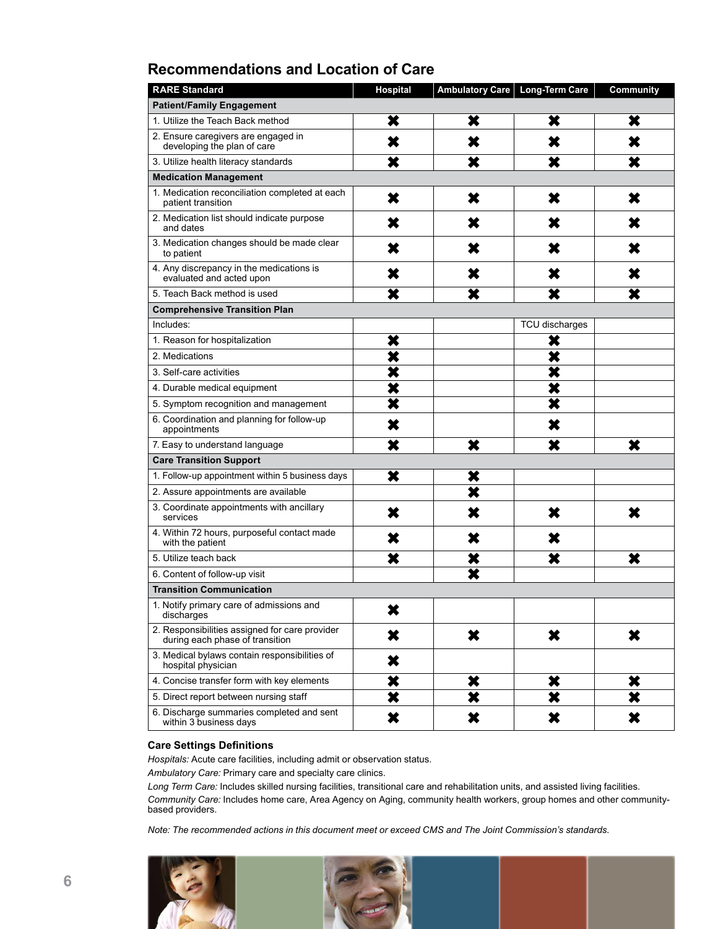# **Recommendations and Location of Care**

| <b>RARE Standard</b>                                                              | Hospital                | Ambulatory Care | <b>Long-Term Care</b>   | Community               |
|-----------------------------------------------------------------------------------|-------------------------|-----------------|-------------------------|-------------------------|
| <b>Patient/Family Engagement</b>                                                  |                         |                 |                         |                         |
| 1. Utilize the Teach Back method                                                  | ×                       | ×               | ×                       | ×                       |
| 2. Ensure caregivers are engaged in<br>developing the plan of care                | ×                       | ×               | ×                       | X                       |
| 3. Utilize health literacy standards                                              | ×                       | ×               | ×                       | ×                       |
| <b>Medication Management</b>                                                      |                         |                 |                         |                         |
| 1. Medication reconciliation completed at each<br>patient transition              | ×                       | ×               | ×                       | ×                       |
| 2. Medication list should indicate purpose<br>and dates                           | ×                       | ×               | ×                       | ×                       |
| 3. Medication changes should be made clear<br>to patient                          | ×                       | X               | ×                       | ×                       |
| 4. Any discrepancy in the medications is<br>evaluated and acted upon              | ×                       | ×               | ×                       | ×                       |
| 5. Teach Back method is used                                                      | ×                       | ×               | ×                       | ×                       |
| <b>Comprehensive Transition Plan</b>                                              |                         |                 |                         |                         |
| Includes:                                                                         |                         |                 | TCU discharges          |                         |
| 1. Reason for hospitalization                                                     | ×                       |                 | ×                       |                         |
| 2. Medications                                                                    | ×                       |                 | ×                       |                         |
| 3. Self-care activities                                                           | ×                       |                 | $\overline{\bm{x}}$     |                         |
| 4. Durable medical equipment                                                      | ×                       |                 | ×                       |                         |
| 5. Symptom recognition and management                                             | $\overline{\textbf{x}}$ |                 | $\overline{\textbf{x}}$ |                         |
| 6. Coordination and planning for follow-up<br>appointments                        | ×                       |                 | ×                       |                         |
| 7. Easy to understand language                                                    | ×                       | ×               | ×                       | $\overline{\mathbf{x}}$ |
| <b>Care Transition Support</b>                                                    |                         |                 |                         |                         |
| 1. Follow-up appointment within 5 business days                                   | ×                       | ×               |                         |                         |
| 2. Assure appointments are available                                              |                         | ×               |                         |                         |
| 3. Coordinate appointments with ancillary<br>services                             | ×                       | X               | ×                       | ×                       |
| 4. Within 72 hours, purposeful contact made<br>with the patient                   | ×                       | ×               | ×                       |                         |
| 5. Utilize teach back                                                             | ×                       | ×               | ×                       | ×                       |
| 6. Content of follow-up visit                                                     |                         | ×               |                         |                         |
| <b>Transition Communication</b>                                                   |                         |                 |                         |                         |
| 1. Notify primary care of admissions and<br>discharges                            | X                       |                 |                         |                         |
| 2. Responsibilities assigned for care provider<br>during each phase of transition | ×                       | ×               | ×                       | ×                       |
| 3. Medical bylaws contain responsibilities of<br>hospital physician               | ×                       |                 |                         |                         |
| 4. Concise transfer form with key elements                                        | ×                       | ×               | ×                       | ×                       |
| 5. Direct report between nursing staff                                            | ×                       | ×               | ×                       | ×                       |
| 6. Discharge summaries completed and sent<br>within 3 business days               | ×                       | ×               | ×                       | ×                       |

#### **Care Settings Definitions**

*Hospitals:* Acute care facilities, including admit or observation status.

*Ambulatory Care:* Primary care and specialty care clinics.

*Long Term Care:* Includes skilled nursing facilities, transitional care and rehabilitation units, and assisted living facilities. *Community Care:* Includes home care, Area Agency on Aging, community health workers, group homes and other communitybased providers.

*Note: The recommended actions in this document meet or exceed CMS and The Joint Commission's standards.*